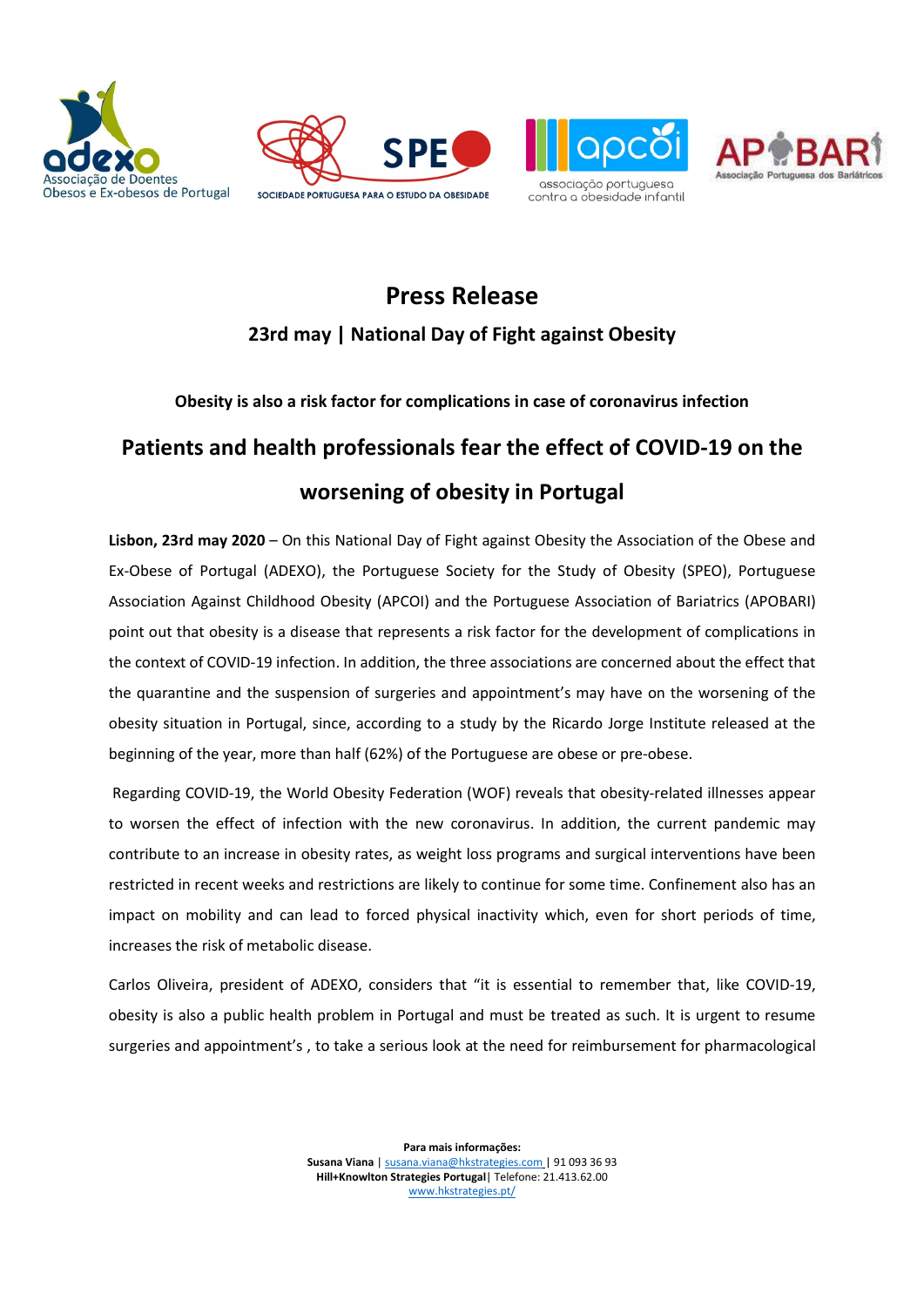







## Press Release 23rd may | National Day of Fight against Obesity

### Obesity is also a risk factor for complications in case of coronavirus infection

# Patients and health professionals fear the effect of COVID-19 on the worsening of obesity in Portugal

Lisbon, 23rd may 2020 – On this National Day of Fight against Obesity the Association of the Obese and Ex-Obese of Portugal (ADEXO), the Portuguese Society for the Study of Obesity (SPEO), Portuguese Association Against Childhood Obesity (APCOI) and the Portuguese Association of Bariatrics (APOBARI) point out that obesity is a disease that represents a risk factor for the development of complications in the context of COVID-19 infection. In addition, the three associations are concerned about the effect that the quarantine and the suspension of surgeries and appointment's may have on the worsening of the obesity situation in Portugal, since, according to a study by the Ricardo Jorge Institute released at the beginning of the year, more than half (62%) of the Portuguese are obese or pre-obese.

 Regarding COVID-19, the World Obesity Federation (WOF) reveals that obesity-related illnesses appear to worsen the effect of infection with the new coronavirus. In addition, the current pandemic may contribute to an increase in obesity rates, as weight loss programs and surgical interventions have been restricted in recent weeks and restrictions are likely to continue for some time. Confinement also has an impact on mobility and can lead to forced physical inactivity which, even for short periods of time, increases the risk of metabolic disease.

Carlos Oliveira, president of ADEXO, considers that "it is essential to remember that, like COVID-19, obesity is also a public health problem in Portugal and must be treated as such. It is urgent to resume surgeries and appointment's , to take a serious look at the need for reimbursement for pharmacological

> Para mais informações: Susana Viana | susana.viana@hkstrategies.com | 91 093 36 93 Hill+Knowlton Strategies Portugal| Telefone: 21.413.62.00 www.hkstrategies.pt/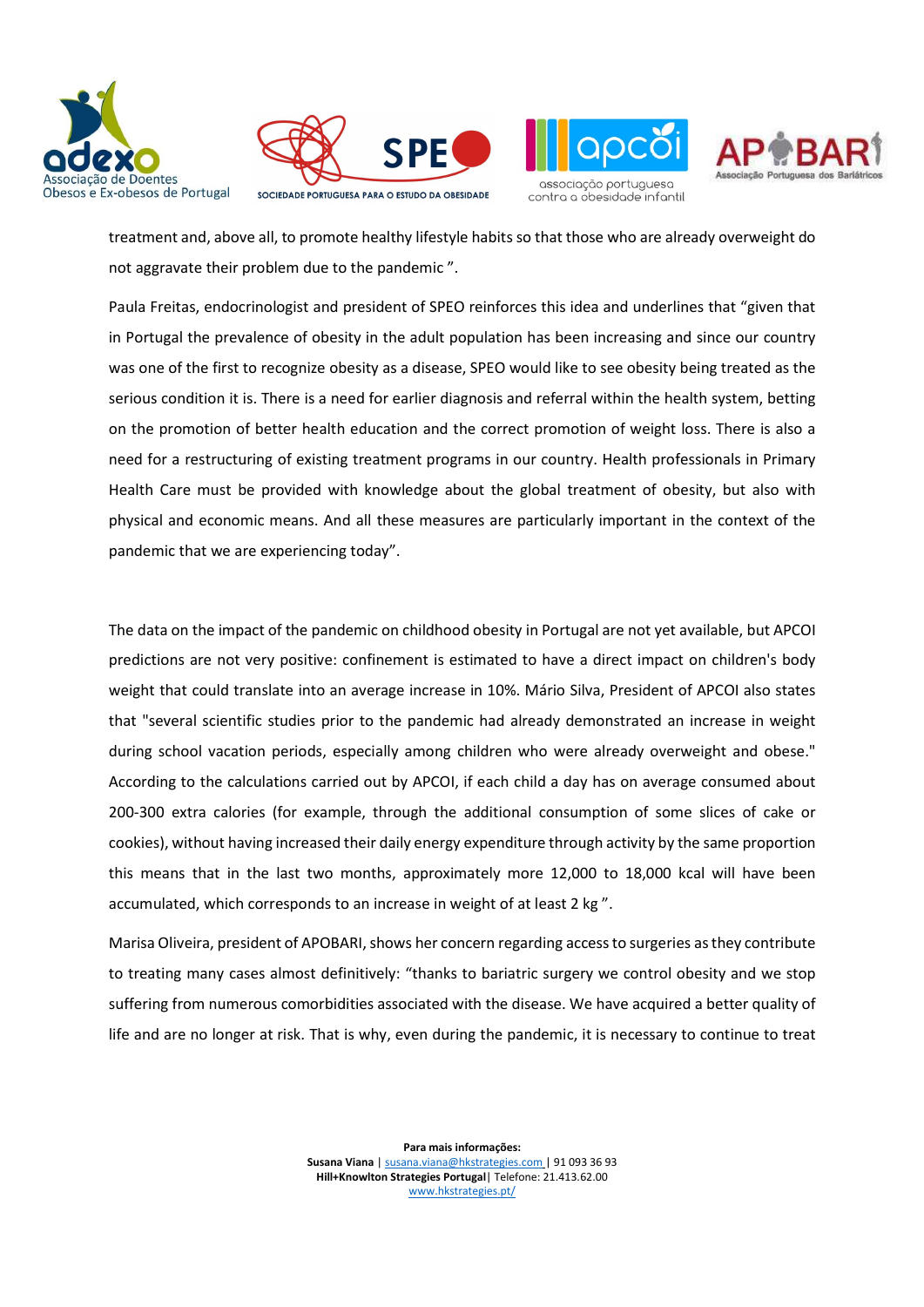









treatment and, above all, to promote healthy lifestyle habits so that those who are already overweight do not aggravate their problem due to the pandemic ".

Paula Freitas, endocrinologist and president of SPEO reinforces this idea and underlines that "given that in Portugal the prevalence of obesity in the adult population has been increasing and since our country was one of the first to recognize obesity as a disease, SPEO would like to see obesity being treated as the serious condition it is. There is a need for earlier diagnosis and referral within the health system, betting on the promotion of better health education and the correct promotion of weight loss. There is also a need for a restructuring of existing treatment programs in our country. Health professionals in Primary Health Care must be provided with knowledge about the global treatment of obesity, but also with physical and economic means. And all these measures are particularly important in the context of the pandemic that we are experiencing today".

The data on the impact of the pandemic on childhood obesity in Portugal are not yet available, but APCOI predictions are not very positive: confinement is estimated to have a direct impact on children's body weight that could translate into an average increase in 10%. Mário Silva, President of APCOI also states that "several scientific studies prior to the pandemic had already demonstrated an increase in weight during school vacation periods, especially among children who were already overweight and obese." According to the calculations carried out by APCOI, if each child a day has on average consumed about 200-300 extra calories (for example, through the additional consumption of some slices of cake or cookies), without having increased their daily energy expenditure through activity by the same proportion this means that in the last two months, approximately more 12,000 to 18,000 kcal will have been accumulated, which corresponds to an increase in weight of at least 2 kg ".

Marisa Oliveira, president of APOBARI, shows her concern regarding access to surgeries as they contribute to treating many cases almost definitively: "thanks to bariatric surgery we control obesity and we stop suffering from numerous comorbidities associated with the disease. We have acquired a better quality of life and are no longer at risk. That is why, even during the pandemic, it is necessary to continue to treat

> Para mais informações: Susana Viana | susana.viana@hkstrategies.com | 91 093 36 93 Hill+Knowlton Strategies Portugal| Telefone: 21.413.62.00 www.hkstrategies.pt/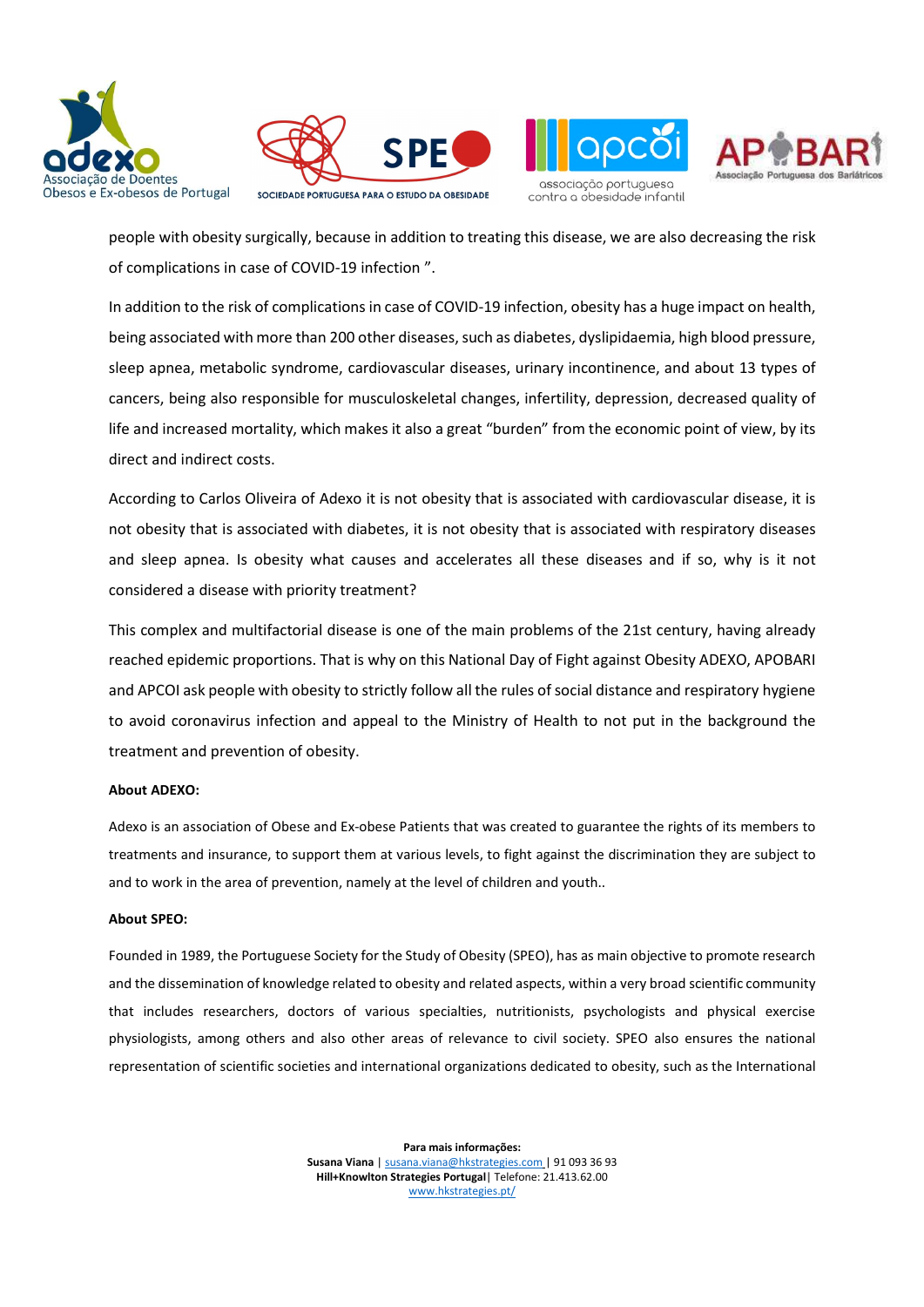





contra a obesidade infantil



people with obesity surgically, because in addition to treating this disease, we are also decreasing the risk of complications in case of COVID-19 infection ".

In addition to the risk of complications in case of COVID-19 infection, obesity has a huge impact on health, being associated with more than 200 other diseases, such as diabetes, dyslipidaemia, high blood pressure, sleep apnea, metabolic syndrome, cardiovascular diseases, urinary incontinence, and about 13 types of cancers, being also responsible for musculoskeletal changes, infertility, depression, decreased quality of life and increased mortality, which makes it also a great "burden" from the economic point of view, by its direct and indirect costs.

According to Carlos Oliveira of Adexo it is not obesity that is associated with cardiovascular disease, it is not obesity that is associated with diabetes, it is not obesity that is associated with respiratory diseases and sleep apnea. Is obesity what causes and accelerates all these diseases and if so, why is it not considered a disease with priority treatment?

This complex and multifactorial disease is one of the main problems of the 21st century, having already reached epidemic proportions. That is why on this National Day of Fight against Obesity ADEXO, APOBARI and APCOI ask people with obesity to strictly follow all the rules of social distance and respiratory hygiene to avoid coronavirus infection and appeal to the Ministry of Health to not put in the background the treatment and prevention of obesity.

#### About ADEXO:

Adexo is an association of Obese and Ex-obese Patients that was created to guarantee the rights of its members to treatments and insurance, to support them at various levels, to fight against the discrimination they are subject to and to work in the area of prevention, namely at the level of children and youth..

#### About SPEO:

Founded in 1989, the Portuguese Society for the Study of Obesity (SPEO), has as main objective to promote research and the dissemination of knowledge related to obesity and related aspects, within a very broad scientific community that includes researchers, doctors of various specialties, nutritionists, psychologists and physical exercise physiologists, among others and also other areas of relevance to civil society. SPEO also ensures the national representation of scientific societies and international organizations dedicated to obesity, such as the International

> Para mais informações: Susana Viana | susana.viana@hkstrategies.com | 91 093 36 93 Hill+Knowlton Strategies Portugal| Telefone: 21.413.62.00 www.hkstrategies.pt/